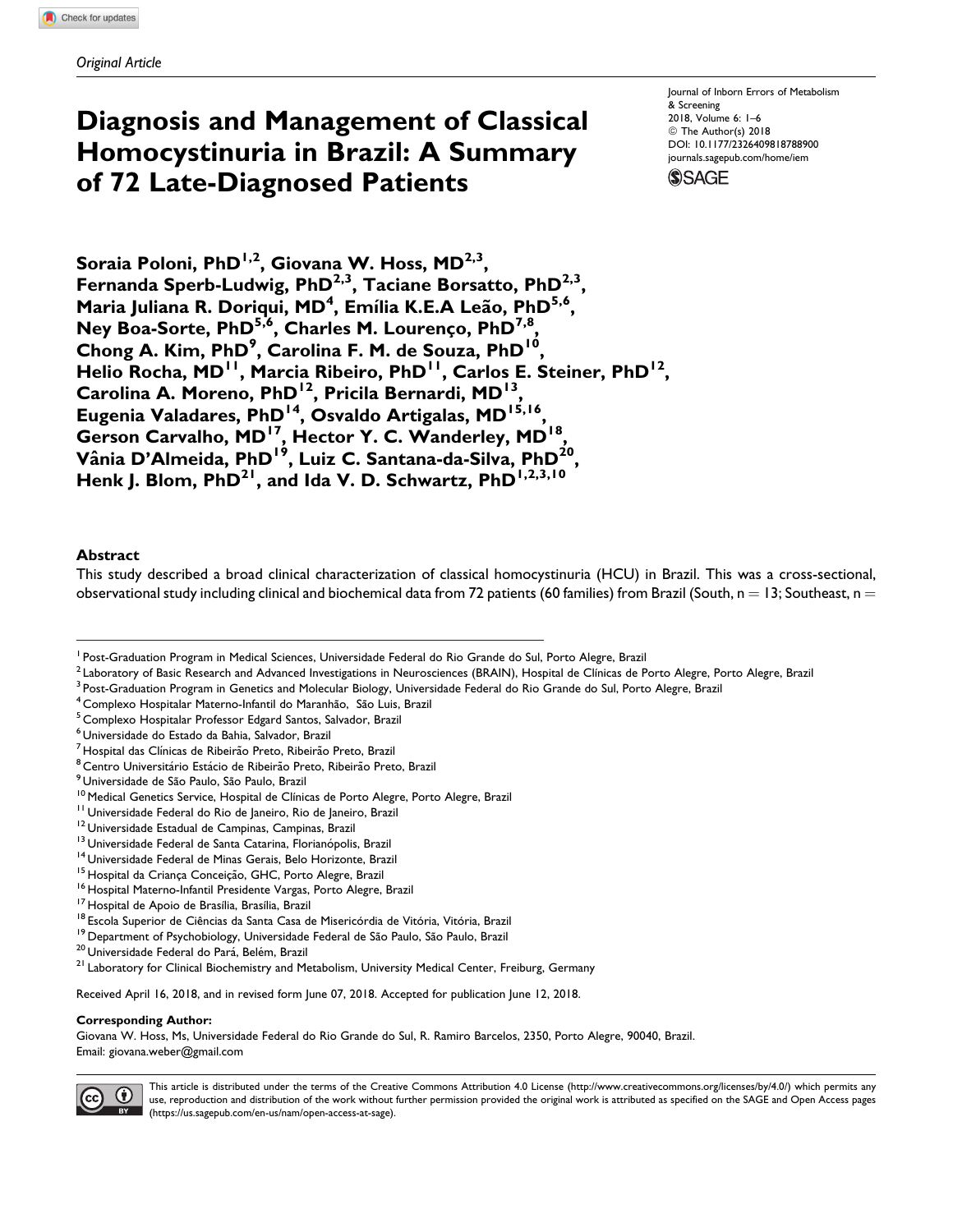# Diagnosis and Management of Classical Homocystinuria in Brazil: A Summary of 72 Late-Diagnosed Patients

Journal of Inborn Errors of Metabolism & Screening 2018, Volume 6: 1–6 © The Author(s) 2018 [DOI: 10.1177/2326409818788900](https://doi.org/10.1177/2326409818788900) [journals.sagepub.com/home/iem](http://journals.sagepub.com/home/iem)



Soraia Poloni, PhD<sup>1,2</sup>, Giovana W. Hoss, MD<sup>2,3</sup>, Fernanda Sperb-Ludwig, PhD<sup>2,3</sup>, Taciane Borsatto, PhD<sup>2,3</sup>, Maria Juliana R. Doriqui, MD<sup>4</sup>, Emília K.E.A Leão, PhD<sup>5,6</sup>, Ney Boa-Sorte, PhD<sup>5,6</sup>, Charles M. Lourenço, PhD<sup>7,8</sup>, Chong A. Kim, PhD<sup>9</sup>, Carolina F. M. de Souza, PhD<sup>10</sup>, Helio Rocha, MD<sup>11</sup>, Marcia Ribeiro, PhD<sup>11</sup>, Carlos E. Steiner, PhD<sup>12</sup>, Carolina A. Moreno, PhD<sup>12</sup>, Pricila Bernardi, MD<sup>13</sup>, Eugenia Valadares, PhD<sup>14</sup>, Osvaldo Artigalas, MD<sup>15,16</sup>, Gerson Carvalho, MD<sup>17</sup>, Hector Y. C. Wanderley, MD<sup>18</sup>, Vânia D'Almeida, PhD<sup>19</sup>, Luiz C. Santana-da-Silva, PhD<sup>20</sup>, Henk J. Blom, PhD<sup>21</sup>, and Ida V. D. Schwartz, PhD<sup>1,2,3,10</sup>

# Abstract

This study described a broad clinical characterization of classical homocystinuria (HCU) in Brazil. This was a cross-sectional, observational study including clinical and biochemical data from 72 patients (60 families) from Brazil (South, n = 13; Southeast, n =

- <sup>4</sup> Complexo Hospitalar Materno-Infantil do Maranhão, São Luis, Brazil  $^5$  Complexo Hospitalar Professor Edgard Santos, Salvador, Brazil
- 
- 

- 
- 
- 
- 
- 
- 

- 
- 
- 
- 
- 

Received April 16, 2018, and in revised form June 07, 2018. Accepted for publication June 12, 2018.

#### Corresponding Author:

Giovana W. Hoss, Ms, Universidade Federal do Rio Grande do Sul, R. Ramiro Barcelos, 2350, Porto Alegre, 90040, Brazil. Email: [giovana.weber@gmail.com](mailto:giovana.weber@gmail.com)



This article is distributed under the terms of the Creative Commons Attribution 4.0 License (<http://www.creativecommons.org/licenses/by/4.0/>) which permits any use, reproduction and distribution of the work without further permission provided the original work is attributed as specified on the SAGE and Open Access pages [\(https://us.sagepub.com/en-us/nam/open-access-at-sage\)](https://us.sagepub.com/en-us/nam/open-access-at-sage).

<sup>&</sup>lt;sup>1</sup> Post-Graduation Program in Medical Sciences, Universidade Federal do Rio Grande do Sul, Porto Alegre, Brazil

<sup>&</sup>lt;sup>2</sup> Laboratory of Basic Research and Advanced Investigations in Neurosciences (BRAIN), Hospital de Clínicas de Porto Alegre, Porto Alegre, Brazil<br><sup>3</sup> Post-Graduation Program in Genetics and Molecular Biology, Universidade

<sup>&</sup>lt;sup>6</sup> Universidade do Estado da Bahia, Salvador, Brazil<br><sup>7</sup> Hospital das Clínicas de Ribeirão Preto, Ribeirão Preto, Brazil

<sup>&</sup>lt;sup>7</sup> Hospital das Clínicas de Ribeirão Preto, Ribeirão Preto, Brazil<br><sup>8</sup> Centro Universitário Estácio de Ribeirão Preto, Ribeirão Preto, Brazil<br><sup>9</sup> Universidade de São Paulo, São Paulo, Brazil<br><sup>10</sup> Medical Genetics Service,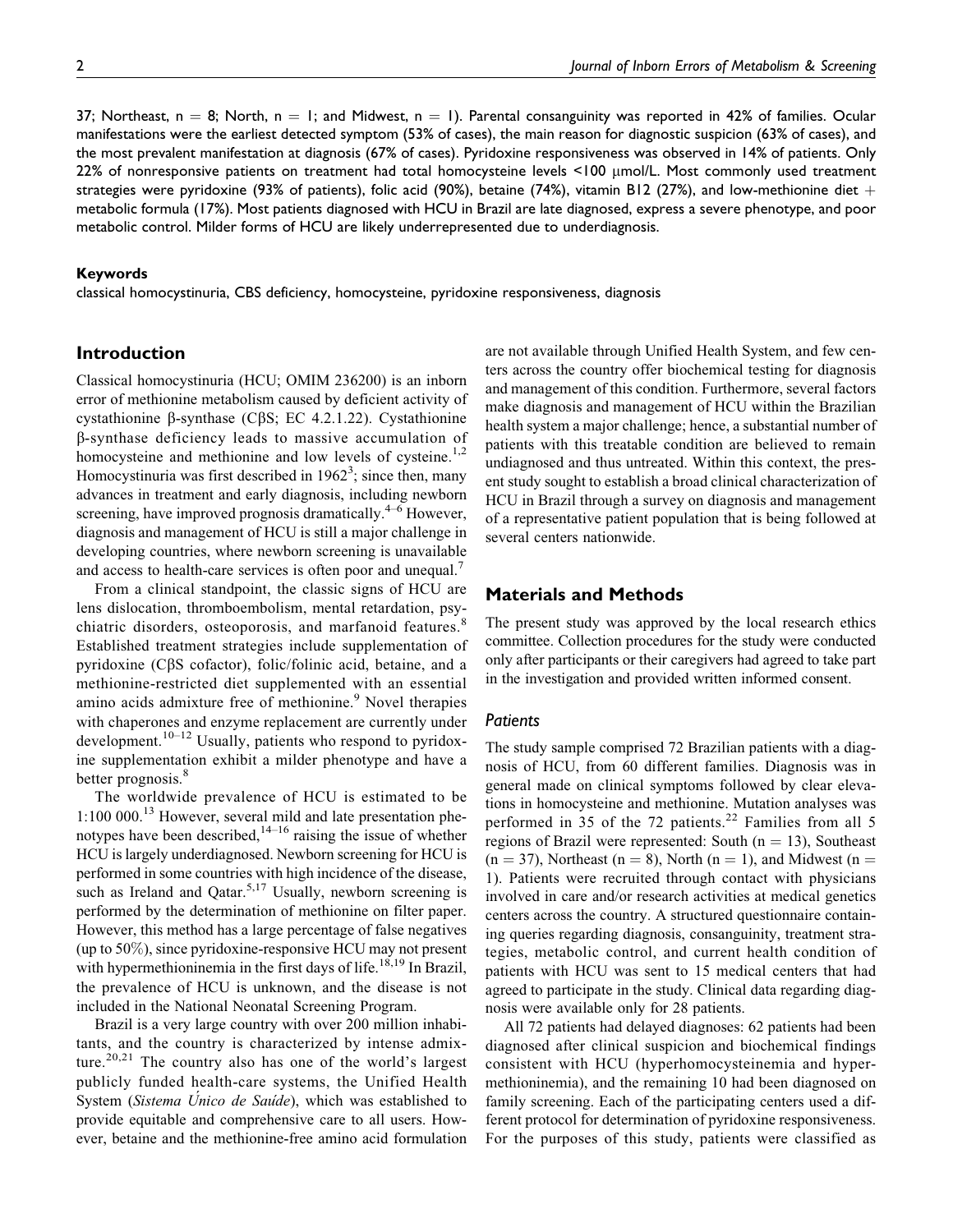37; Northeast,  $n = 8$ ; North,  $n = 1$ ; and Midwest,  $n = 1$ ). Parental consanguinity was reported in 42% of families. Ocular manifestations were the earliest detected symptom (53% of cases), the main reason for diagnostic suspicion (63% of cases), and the most prevalent manifestation at diagnosis (67% of cases). Pyridoxine responsiveness was observed in 14% of patients. Only  $22\%$  of nonresponsive patients on treatment had total homocysteine levels <100  $\mu$ mol/L. Most commonly used treatment strategies were pyridoxine (93% of patients), folic acid (90%), betaine (74%), vitamin B12 (27%), and low-methionine diet  $+$ metabolic formula (17%). Most patients diagnosed with HCU in Brazil are late diagnosed, express a severe phenotype, and poor metabolic control. Milder forms of HCU are likely underrepresented due to underdiagnosis.

## Keywords

classical homocystinuria, CBS deficiency, homocysteine, pyridoxine responsiveness, diagnosis

# Introduction

Classical homocystinuria (HCU; OMIM 236200) is an inborn error of methionine metabolism caused by deficient activity of cystathionine  $\beta$ -synthase (C $\beta$ S; EC 4.2.1.22). Cystathionine b-synthase deficiency leads to massive accumulation of homocysteine and methionine and low levels of cysteine.<sup>1,2</sup> Homocystinuria was first described in  $1962^3$ ; since then, many advances in treatment and early diagnosis, including newborn screening, have improved prognosis dramatically.<sup>4–6</sup> However, diagnosis and management of HCU is still a major challenge in developing countries, where newborn screening is unavailable and access to health-care services is often poor and unequal.<sup>7</sup>

From a clinical standpoint, the classic signs of HCU are lens dislocation, thromboembolism, mental retardation, psychiatric disorders, osteoporosis, and marfanoid features.<sup>8</sup> Established treatment strategies include supplementation of pyridoxine (C $\beta$ S cofactor), folic/folinic acid, betaine, and a methionine-restricted diet supplemented with an essential amino acids admixture free of methionine.<sup>9</sup> Novel therapies with chaperones and enzyme replacement are currently under development.<sup>10–12</sup> Usually, patients who respond to pyridoxine supplementation exhibit a milder phenotype and have a better prognosis.<sup>8</sup>

The worldwide prevalence of HCU is estimated to be 1:100 000.<sup>13</sup> However, several mild and late presentation phenotypes have been described,  $14-16$  raising the issue of whether HCU is largely underdiagnosed. Newborn screening for HCU is performed in some countries with high incidence of the disease, such as Ireland and Qatar.<sup>5,17</sup> Usually, newborn screening is performed by the determination of methionine on filter paper. However, this method has a large percentage of false negatives (up to 50%), since pyridoxine-responsive HCU may not present with hypermethioninemia in the first days of life.<sup>18,19</sup> In Brazil, the prevalence of HCU is unknown, and the disease is not included in the National Neonatal Screening Program.

Brazil is a very large country with over 200 million inhabitants, and the country is characterized by intense admixture.<sup>20,21</sup> The country also has one of the world's largest publicly funded health-care systems, the Unified Health System (Sistema Unico de Sau'de), which was established to provide equitable and comprehensive care to all users. However, betaine and the methionine-free amino acid formulation are not available through Unified Health System, and few centers across the country offer biochemical testing for diagnosis and management of this condition. Furthermore, several factors make diagnosis and management of HCU within the Brazilian health system a major challenge; hence, a substantial number of patients with this treatable condition are believed to remain undiagnosed and thus untreated. Within this context, the present study sought to establish a broad clinical characterization of HCU in Brazil through a survey on diagnosis and management of a representative patient population that is being followed at several centers nationwide.

## Materials and Methods

The present study was approved by the local research ethics committee. Collection procedures for the study were conducted only after participants or their caregivers had agreed to take part in the investigation and provided written informed consent.

#### Patients

The study sample comprised 72 Brazilian patients with a diagnosis of HCU, from 60 different families. Diagnosis was in general made on clinical symptoms followed by clear elevations in homocysteine and methionine. Mutation analyses was performed in  $35$  of the 72 patients.<sup>22</sup> Families from all 5 regions of Brazil were represented: South ( $n = 13$ ), Southeast  $(n = 37)$ , Northeast  $(n = 8)$ , North  $(n = 1)$ , and Midwest  $(n = 1)$ 1). Patients were recruited through contact with physicians involved in care and/or research activities at medical genetics centers across the country. A structured questionnaire containing queries regarding diagnosis, consanguinity, treatment strategies, metabolic control, and current health condition of patients with HCU was sent to 15 medical centers that had agreed to participate in the study. Clinical data regarding diagnosis were available only for 28 patients.

All 72 patients had delayed diagnoses: 62 patients had been diagnosed after clinical suspicion and biochemical findings consistent with HCU (hyperhomocysteinemia and hypermethioninemia), and the remaining 10 had been diagnosed on family screening. Each of the participating centers used a different protocol for determination of pyridoxine responsiveness. For the purposes of this study, patients were classified as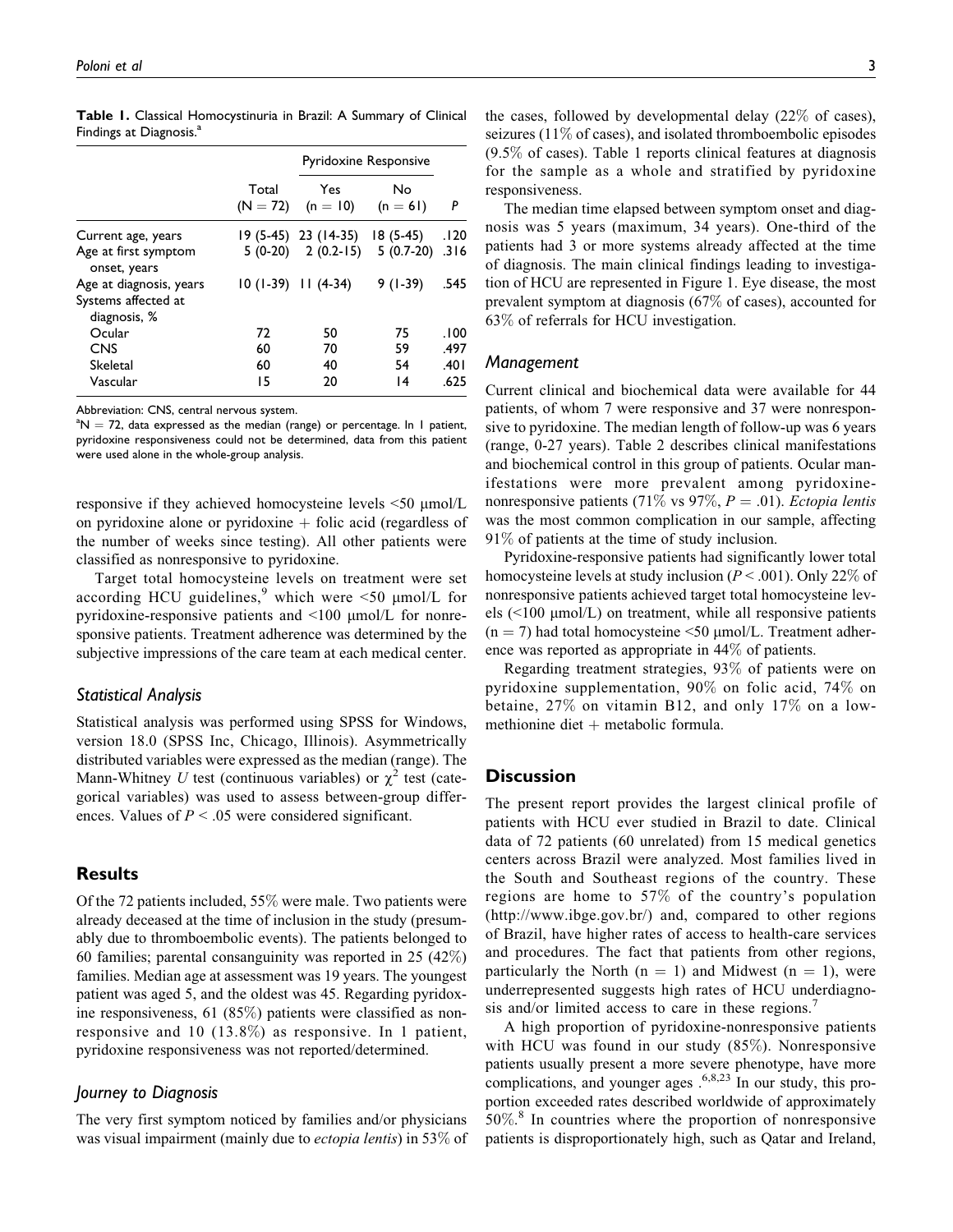|                                                                |                     | Pyridoxine Responsive |                  |      |
|----------------------------------------------------------------|---------------------|-----------------------|------------------|------|
|                                                                | Total<br>$(N = 72)$ | Yes<br>$(n = 10)$     | Nο<br>$(n = 61)$ | P    |
| Current age, years                                             |                     | 19 (5-45) 23 (14-35)  | 18 (5-45)        | .120 |
| Age at first symptom<br>onset, years                           | $5(0-20)$           | $2(0.2-15)$           | $5(0.7-20)$      | .316 |
| Age at diagnosis, years<br>Systems affected at<br>diagnosis, % |                     | 10 (1-39) 11 (4-34)   | $9(1-39)$        | .545 |
| Ocular                                                         | 72                  | 50                    | 75               | .100 |
| <b>CNS</b>                                                     | 60                  | 70                    | 59               | .497 |
| Skeletal                                                       | 60                  | 40                    | 54               | .401 |
| Vascular                                                       | 15                  | 20                    | 14               | .625 |

Table 1. Classical Homocystinuria in Brazil: A Summary of Clinical Findings at Diagnosis.<sup>a</sup>

Abbreviation: CNS, central nervous system.

 ${}^{a}N = 72$ , data expressed as the median (range) or percentage. In 1 patient, pyridoxine responsiveness could not be determined, data from this patient were used alone in the whole-group analysis.

responsive if they achieved homocysteine levels  $\leq 50 \mu m o l/L$ on pyridoxine alone or pyridoxine  $\phi$  folic acid (regardless of the number of weeks since testing). All other patients were classified as nonresponsive to pyridoxine.

Target total homocysteine levels on treatment were set according HCU guidelines,<sup>9</sup> which were  $\leq 50$  µmol/L for pyridoxine-responsive patients and  $\leq 100$  µmol/L for nonresponsive patients. Treatment adherence was determined by the subjective impressions of the care team at each medical center.

## Statistical Analysis

Statistical analysis was performed using SPSS for Windows, version 18.0 (SPSS Inc, Chicago, Illinois). Asymmetrically distributed variables were expressed as the median (range). The Mann-Whitney U test (continuous variables) or  $\chi^2$  test (categorical variables) was used to assess between-group differences. Values of  $P < .05$  were considered significant.

# **Results**

Of the 72 patients included, 55% were male. Two patients were already deceased at the time of inclusion in the study (presumably due to thromboembolic events). The patients belonged to 60 families; parental consanguinity was reported in 25 (42%) families. Median age at assessment was 19 years. The youngest patient was aged 5, and the oldest was 45. Regarding pyridoxine responsiveness, 61 (85%) patients were classified as nonresponsive and 10 (13.8%) as responsive. In 1 patient, pyridoxine responsiveness was not reported/determined.

# Journey to Diagnosis

The very first symptom noticed by families and/or physicians was visual impairment (mainly due to ectopia lentis) in 53% of the cases, followed by developmental delay (22% of cases), seizures (11% of cases), and isolated thromboembolic episodes (9.5% of cases). Table 1 reports clinical features at diagnosis for the sample as a whole and stratified by pyridoxine responsiveness.

The median time elapsed between symptom onset and diagnosis was 5 years (maximum, 34 years). One-third of the patients had 3 or more systems already affected at the time of diagnosis. The main clinical findings leading to investigation of HCU are represented in Figure 1. Eye disease, the most prevalent symptom at diagnosis (67% of cases), accounted for 63% of referrals for HCU investigation.

#### Management

Current clinical and biochemical data were available for 44 patients, of whom 7 were responsive and 37 were nonresponsive to pyridoxine. The median length of follow-up was 6 years (range, 0-27 years). Table 2 describes clinical manifestations and biochemical control in this group of patients. Ocular manifestations were more prevalent among pyridoxinenonresponsive patients (71% vs 97%,  $P = .01$ ). Ectopia lentis was the most common complication in our sample, affecting 91% of patients at the time of study inclusion.

Pyridoxine-responsive patients had significantly lower total homocysteine levels at study inclusion ( $P < .001$ ). Only 22% of nonresponsive patients achieved target total homocysteine levels  $(\leq 100 \mu \text{mol/L})$  on treatment, while all responsive patients  $(n = 7)$  had total homocysteine <50  $\mu$ mol/L. Treatment adherence was reported as appropriate in 44% of patients.

Regarding treatment strategies, 93% of patients were on pyridoxine supplementation, 90% on folic acid, 74% on betaine, 27% on vitamin B12, and only 17% on a lowmethionine diet  $+$  metabolic formula.

# **Discussion**

The present report provides the largest clinical profile of patients with HCU ever studied in Brazil to date. Clinical data of 72 patients (60 unrelated) from 15 medical genetics centers across Brazil were analyzed. Most families lived in the South and Southeast regions of the country. These regions are home to 57% of the country's population [\(http://www.ibge.gov.br/](http://www.ibge.gov.br/)) and, compared to other regions of Brazil, have higher rates of access to health-care services and procedures. The fact that patients from other regions, particularly the North ( $n = 1$ ) and Midwest ( $n = 1$ ), were underrepresented suggests high rates of HCU underdiagnosis and/or limited access to care in these regions.<sup>7</sup>

A high proportion of pyridoxine-nonresponsive patients with HCU was found in our study (85%). Nonresponsive patients usually present a more severe phenotype, have more complications, and younger ages .<sup>6,8,23</sup> In our study, this proportion exceeded rates described worldwide of approximately 50%. <sup>8</sup> In countries where the proportion of nonresponsive patients is disproportionately high, such as Qatar and Ireland,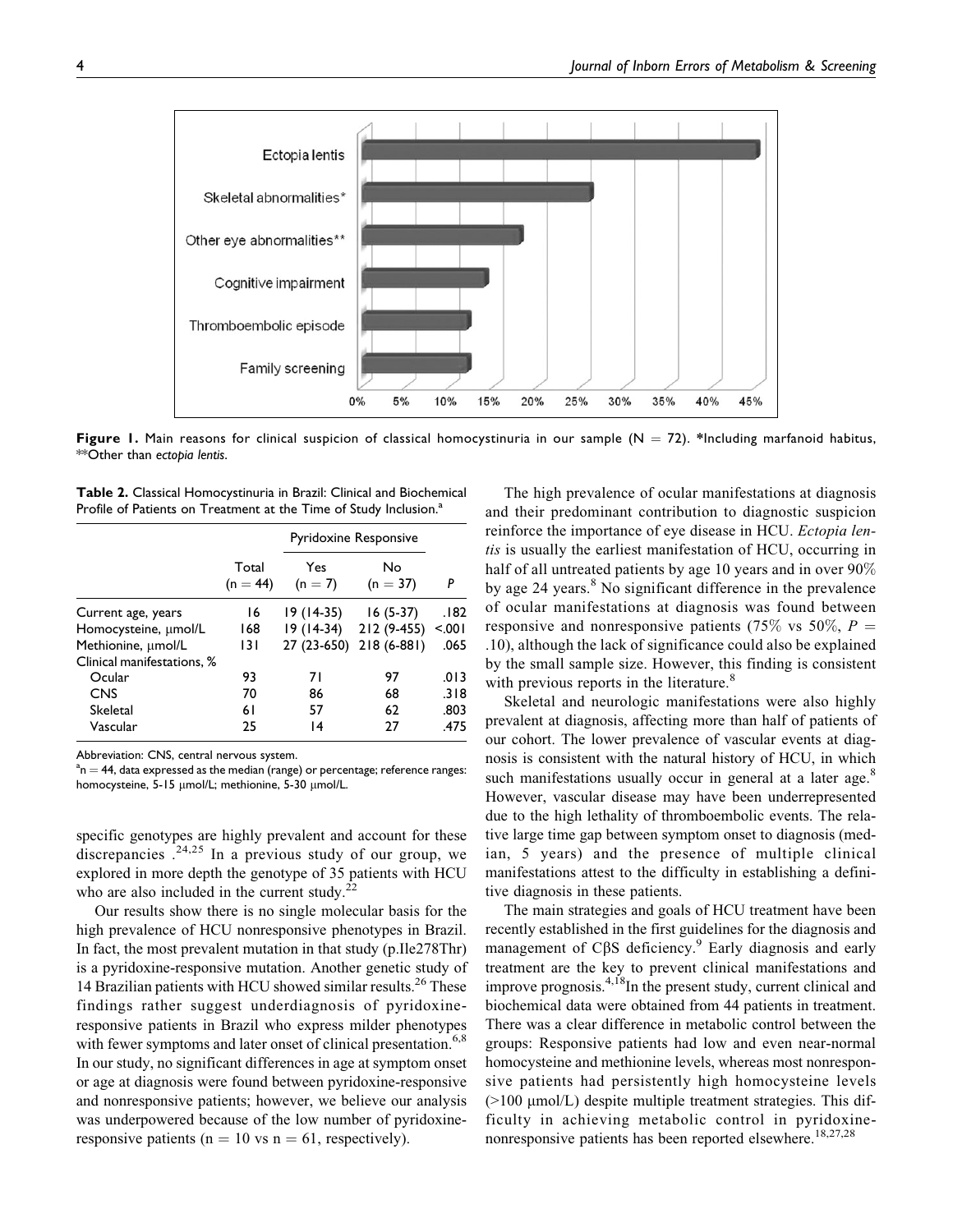

Figure 1. Main reasons for clinical suspicion of classical homocystinuria in our sample ( $N = 72$ ). \*Including marfanoid habitus, \*\* Other than ectopia lentis.

|  |  |  | Table 2. Classical Homocystinuria in Brazil: Clinical and Biochemical         |  |
|--|--|--|-------------------------------------------------------------------------------|--|
|  |  |  | Profile of Patients on Treatment at the Time of Study Inclusion. <sup>a</sup> |  |

|                            |                     | Pyridoxine Responsive |                  |       |
|----------------------------|---------------------|-----------------------|------------------|-------|
|                            | Total<br>$(n = 44)$ | Yes<br>$(n = 7)$      | No<br>$(n = 37)$ | P     |
| Current age, years         | 16                  | $19(14-35)$           | $16(5-37)$       | .182  |
| Homocysteine, µmol/L       | 168                 | $19(14-34)$           | 212 (9-455)      | 5.001 |
| Methionine, µmol/L         | 131                 | 27 (23-650)           | 218 (6-881)      | .065  |
| Clinical manifestations, % |                     |                       |                  |       |
| Ocular                     | 93                  | 71                    | 97               | .013  |
| <b>CNS</b>                 | 70                  | 86                    | 68               | .318  |
| Skeletal                   | 61                  | 57                    | 62               | .803  |
| Vascular                   | 25                  | ۱4                    | 27               | .475  |

Abbreviation: CNS, central nervous system.

 $a^a$ n  $=$  44, data expressed as the median (range) or percentage; reference ranges: homocysteine, 5-15 µmol/L; methionine, 5-30 µmol/L.

specific genotypes are highly prevalent and account for these discrepancies  $.24,25$  In a previous study of our group, we explored in more depth the genotype of 35 patients with HCU who are also included in the current study. $2^2$ 

Our results show there is no single molecular basis for the high prevalence of HCU nonresponsive phenotypes in Brazil. In fact, the most prevalent mutation in that study (p.Ile278Thr) is a pyridoxine-responsive mutation. Another genetic study of 14 Brazilian patients with HCU showed similar results.<sup>26</sup> These findings rather suggest underdiagnosis of pyridoxineresponsive patients in Brazil who express milder phenotypes with fewer symptoms and later onset of clinical presentation.<sup>6,8</sup> In our study, no significant differences in age at symptom onset or age at diagnosis were found between pyridoxine-responsive and nonresponsive patients; however, we believe our analysis was underpowered because of the low number of pyridoxineresponsive patients ( $n = 10$  vs  $n = 61$ , respectively).

The high prevalence of ocular manifestations at diagnosis and their predominant contribution to diagnostic suspicion reinforce the importance of eye disease in HCU. Ectopia lentis is usually the earliest manifestation of HCU, occurring in half of all untreated patients by age 10 years and in over 90% by age 24 years.<sup>8</sup> No significant difference in the prevalence of ocular manifestations at diagnosis was found between responsive and nonresponsive patients (75% vs 50%,  $P =$ .10), although the lack of significance could also be explained by the small sample size. However, this finding is consistent with previous reports in the literature.<sup>8</sup>

Skeletal and neurologic manifestations were also highly prevalent at diagnosis, affecting more than half of patients of our cohort. The lower prevalence of vascular events at diagnosis is consistent with the natural history of HCU, in which such manifestations usually occur in general at a later age.<sup>8</sup> However, vascular disease may have been underrepresented due to the high lethality of thromboembolic events. The relative large time gap between symptom onset to diagnosis (median, 5 years) and the presence of multiple clinical manifestations attest to the difficulty in establishing a definitive diagnosis in these patients.

The main strategies and goals of HCU treatment have been recently established in the first guidelines for the diagnosis and management of  $C\beta S$  deficiency.<sup>9</sup> Early diagnosis and early treatment are the key to prevent clinical manifestations and improve prognosis. $4,18$ In the present study, current clinical and biochemical data were obtained from 44 patients in treatment. There was a clear difference in metabolic control between the groups: Responsive patients had low and even near-normal homocysteine and methionine levels, whereas most nonresponsive patients had persistently high homocysteine levels  $(>100 \mu mol/L)$  despite multiple treatment strategies. This difficulty in achieving metabolic control in pyridoxinenonresponsive patients has been reported elsewhere.<sup>18,27,28</sup>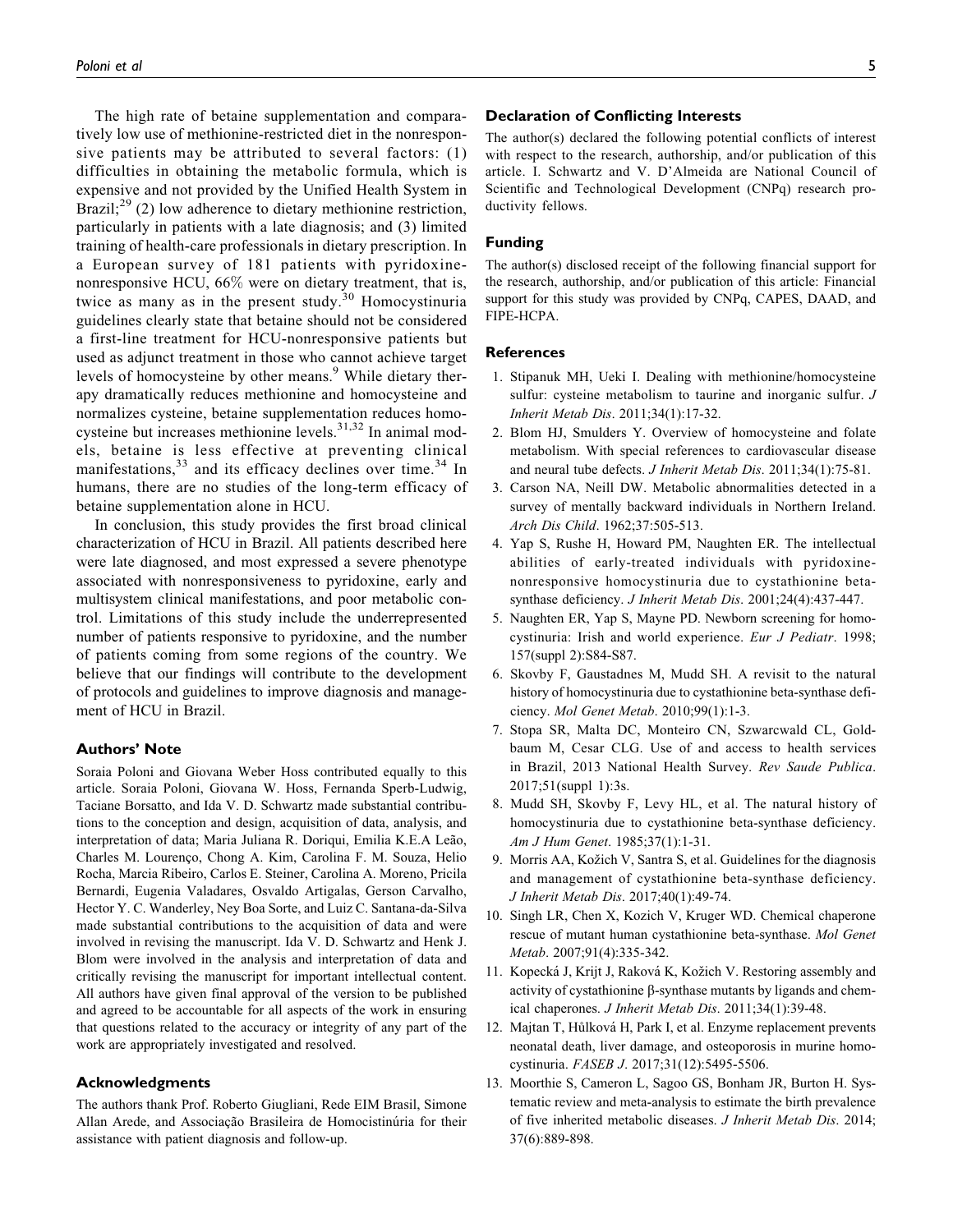The high rate of betaine supplementation and comparatively low use of methionine-restricted diet in the nonresponsive patients may be attributed to several factors: (1) difficulties in obtaining the metabolic formula, which is expensive and not provided by the Unified Health System in Brazil;<sup>29</sup> (2) low adherence to dietary methionine restriction, particularly in patients with a late diagnosis; and (3) limited training of health-care professionals in dietary prescription. In a European survey of 181 patients with pyridoxinenonresponsive HCU, 66% were on dietary treatment, that is, twice as many as in the present study.<sup>30</sup> Homocystinuria guidelines clearly state that betaine should not be considered a first-line treatment for HCU-nonresponsive patients but used as adjunct treatment in those who cannot achieve target levels of homocysteine by other means.<sup>9</sup> While dietary therapy dramatically reduces methionine and homocysteine and normalizes cysteine, betaine supplementation reduces homocysteine but increases methionine levels. $31,32$  In animal models, betaine is less effective at preventing clinical manifestations,<sup>33</sup> and its efficacy declines over time.<sup>34</sup> In humans, there are no studies of the long-term efficacy of betaine supplementation alone in HCU.

In conclusion, this study provides the first broad clinical characterization of HCU in Brazil. All patients described here were late diagnosed, and most expressed a severe phenotype associated with nonresponsiveness to pyridoxine, early and multisystem clinical manifestations, and poor metabolic control. Limitations of this study include the underrepresented number of patients responsive to pyridoxine, and the number of patients coming from some regions of the country. We believe that our findings will contribute to the development of protocols and guidelines to improve diagnosis and management of HCU in Brazil.

### Authors' Note

Soraia Poloni and Giovana Weber Hoss contributed equally to this article. Soraia Poloni, Giovana W. Hoss, Fernanda Sperb-Ludwig, Taciane Borsatto, and Ida V. D. Schwartz made substantial contributions to the conception and design, acquisition of data, analysis, and interpretation of data; Maria Juliana R. Doriqui, Emilia K.E.A Leão, Charles M. Lourenço, Chong A. Kim, Carolina F. M. Souza, Helio Rocha, Marcia Ribeiro, Carlos E. Steiner, Carolina A. Moreno, Pricila Bernardi, Eugenia Valadares, Osvaldo Artigalas, Gerson Carvalho, Hector Y. C. Wanderley, Ney Boa Sorte, and Luiz C. Santana-da-Silva made substantial contributions to the acquisition of data and were involved in revising the manuscript. Ida V. D. Schwartz and Henk J. Blom were involved in the analysis and interpretation of data and critically revising the manuscript for important intellectual content. All authors have given final approval of the version to be published and agreed to be accountable for all aspects of the work in ensuring that questions related to the accuracy or integrity of any part of the work are appropriately investigated and resolved.

## Acknowledgments

The authors thank Prof. Roberto Giugliani, Rede EIM Brasil, Simone Allan Arede, and Associação Brasileira de Homocistinúria for their assistance with patient diagnosis and follow-up.

#### Declaration of Conflicting Interests

The author(s) declared the following potential conflicts of interest with respect to the research, authorship, and/or publication of this article. I. Schwartz and V. D'Almeida are National Council of Scientific and Technological Development (CNPq) research productivity fellows.

## Funding

The author(s) disclosed receipt of the following financial support for the research, authorship, and/or publication of this article: Financial support for this study was provided by CNPq, CAPES, DAAD, and FIPE-HCPA.

#### References

- 1. Stipanuk MH, Ueki I. Dealing with methionine/homocysteine sulfur: cysteine metabolism to taurine and inorganic sulfur. J Inherit Metab Dis. 2011;34(1):17-32.
- 2. Blom HJ, Smulders Y. Overview of homocysteine and folate metabolism. With special references to cardiovascular disease and neural tube defects. J Inherit Metab Dis. 2011;34(1):75-81.
- 3. Carson NA, Neill DW. Metabolic abnormalities detected in a survey of mentally backward individuals in Northern Ireland. Arch Dis Child. 1962;37:505-513.
- 4. Yap S, Rushe H, Howard PM, Naughten ER. The intellectual abilities of early-treated individuals with pyridoxinenonresponsive homocystinuria due to cystathionine betasynthase deficiency. J Inherit Metab Dis. 2001;24(4):437-447.
- 5. Naughten ER, Yap S, Mayne PD. Newborn screening for homocystinuria: Irish and world experience. Eur J Pediatr. 1998; 157(suppl 2):S84-S87.
- 6. Skovby F, Gaustadnes M, Mudd SH. A revisit to the natural history of homocystinuria due to cystathionine beta-synthase deficiency. Mol Genet Metab. 2010;99(1):1-3.
- 7. Stopa SR, Malta DC, Monteiro CN, Szwarcwald CL, Goldbaum M, Cesar CLG. Use of and access to health services in Brazil, 2013 National Health Survey. Rev Saude Publica. 2017;51(suppl 1):3s.
- 8. Mudd SH, Skovby F, Levy HL, et al. The natural history of homocystinuria due to cystathionine beta-synthase deficiency. Am J Hum Genet. 1985;37(1):1-31.
- 9. Morris AA, Kožich V, Santra S, et al. Guidelines for the diagnosis and management of cystathionine beta-synthase deficiency. J Inherit Metab Dis. 2017;40(1):49-74.
- 10. Singh LR, Chen X, Kozich V, Kruger WD. Chemical chaperone rescue of mutant human cystathionine beta-synthase. Mol Genet Metab. 2007;91(4):335-342.
- 11. Kopecká J, Krijt J, Raková K, Kožich V. Restoring assembly and activity of cystathionine  $\beta$ -synthase mutants by ligands and chemical chaperones. J Inherit Metab Dis. 2011;34(1):39-48.
- 12. Majtan T, Hůlková H, Park I, et al. Enzyme replacement prevents neonatal death, liver damage, and osteoporosis in murine homocystinuria. FASEB J. 2017;31(12):5495-5506.
- 13. Moorthie S, Cameron L, Sagoo GS, Bonham JR, Burton H. Systematic review and meta-analysis to estimate the birth prevalence of five inherited metabolic diseases. J Inherit Metab Dis. 2014; 37(6):889-898.